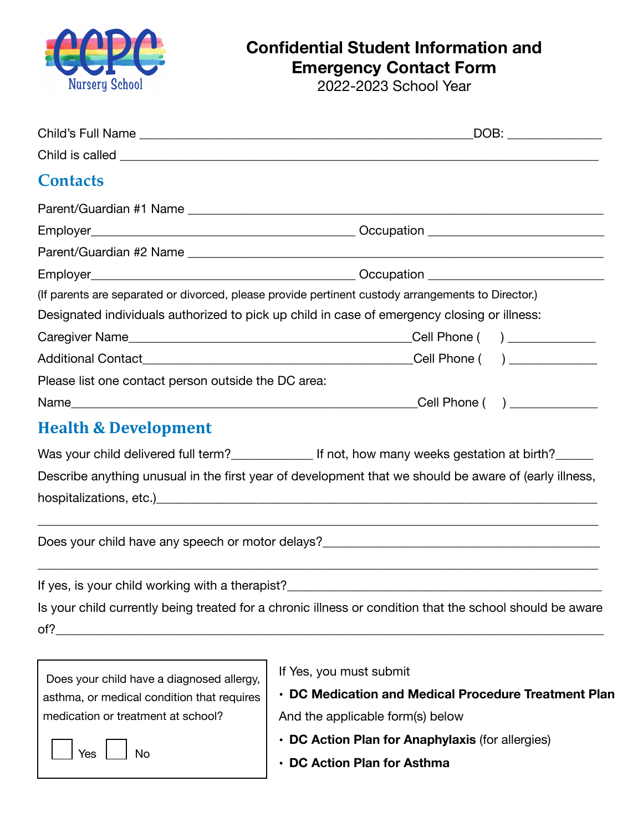

## **Confidential Student Information and Emergency Contact Form**

2022-2023 School Year

| DOB: ________________                                                                                                                           |                                                                                                          |  |  |
|-------------------------------------------------------------------------------------------------------------------------------------------------|----------------------------------------------------------------------------------------------------------|--|--|
|                                                                                                                                                 |                                                                                                          |  |  |
| <b>Contacts</b>                                                                                                                                 |                                                                                                          |  |  |
|                                                                                                                                                 |                                                                                                          |  |  |
|                                                                                                                                                 |                                                                                                          |  |  |
|                                                                                                                                                 |                                                                                                          |  |  |
|                                                                                                                                                 |                                                                                                          |  |  |
|                                                                                                                                                 | (If parents are separated or divorced, please provide pertinent custody arrangements to Director.)       |  |  |
|                                                                                                                                                 | Designated individuals authorized to pick up child in case of emergency closing or illness:              |  |  |
|                                                                                                                                                 |                                                                                                          |  |  |
|                                                                                                                                                 |                                                                                                          |  |  |
| Please list one contact person outside the DC area:                                                                                             |                                                                                                          |  |  |
|                                                                                                                                                 |                                                                                                          |  |  |
| <b>Health &amp; Development</b>                                                                                                                 |                                                                                                          |  |  |
|                                                                                                                                                 | Was your child delivered full term?________________ If not, how many weeks gestation at birth?______     |  |  |
|                                                                                                                                                 | Describe anything unusual in the first year of development that we should be aware of (early illness,    |  |  |
|                                                                                                                                                 |                                                                                                          |  |  |
|                                                                                                                                                 |                                                                                                          |  |  |
|                                                                                                                                                 |                                                                                                          |  |  |
|                                                                                                                                                 |                                                                                                          |  |  |
|                                                                                                                                                 | If yes, is your child working with a therapist?                                                          |  |  |
|                                                                                                                                                 | Is your child currently being treated for a chronic illness or condition that the school should be aware |  |  |
| of?                                                                                                                                             |                                                                                                          |  |  |
|                                                                                                                                                 |                                                                                                          |  |  |
|                                                                                                                                                 | If Yes, you must submit                                                                                  |  |  |
| Does your child have a diagnosed allergy,<br>• DC Medication and Medical Procedure Treatment Plan<br>asthma, or medical condition that requires |                                                                                                          |  |  |
| medication or treatment at school?                                                                                                              | And the applicable form(s) below                                                                         |  |  |
|                                                                                                                                                 | • DC Action Plan for Anaphylaxis (for allergies)                                                         |  |  |
| Yes<br>No                                                                                                                                       | <b>DC Action Plan for Asthma</b>                                                                         |  |  |
|                                                                                                                                                 |                                                                                                          |  |  |